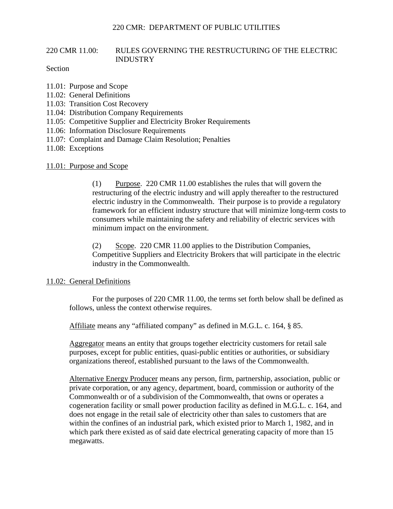# 220 CMR 11.00: RULES GOVERNING THE RESTRUCTURING OF THE ELECTRIC INDUSTRY

## Section

- 11.01: Purpose and Scope
- 11.02: General Definitions
- 11.03: Transition Cost Recovery
- 11.04: Distribution Company Requirements
- 11.05: Competitive Supplier and Electricity Broker Requirements
- 11.06: Information Disclosure Requirements
- 11.07: Complaint and Damage Claim Resolution; Penalties
- 11.08: Exceptions

## 11.01: Purpose and Scope

(1) Purpose. 220 CMR 11.00 establishes the rules that will govern the restructuring of the electric industry and will apply thereafter to the restructured electric industry in the Commonwealth. Their purpose is to provide a regulatory framework for an efficient industry structure that will minimize long-term costs to consumers while maintaining the safety and reliability of electric services with minimum impact on the environment.

(2) Scope. 220 CMR 11.00 applies to the Distribution Companies, Competitive Suppliers and Electricity Brokers that will participate in the electric industry in the Commonwealth.

## 11.02: General Definitions

For the purposes of 220 CMR 11.00, the terms set forth below shall be defined as follows, unless the context otherwise requires.

Affiliate means any "affiliated company" as defined in M.G.L. c. 164, § 85.

Aggregator means an entity that groups together electricity customers for retail sale purposes, except for public entities, quasi-public entities or authorities, or subsidiary organizations thereof, established pursuant to the laws of the Commonwealth.

Alternative Energy Producer means any person, firm, partnership, association, public or private corporation, or any agency, department, board, commission or authority of the Commonwealth or of a subdivision of the Commonwealth, that owns or operates a cogeneration facility or small power production facility as defined in M.G.L. c. 164, and does not engage in the retail sale of electricity other than sales to customers that are within the confines of an industrial park, which existed prior to March 1, 1982, and in which park there existed as of said date electrical generating capacity of more than 15 megawatts.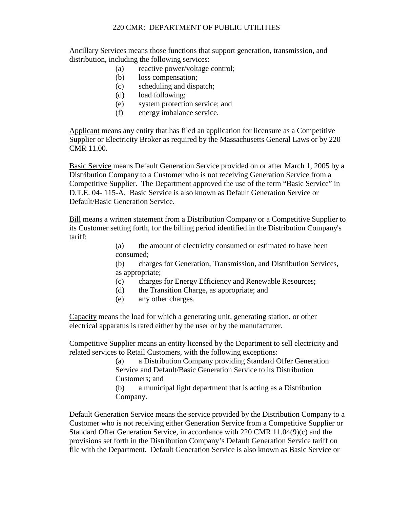Ancillary Services means those functions that support generation, transmission, and distribution, including the following services:

- (a) reactive power/voltage control;
- (b) loss compensation;
- (c) scheduling and dispatch;
- (d) load following;
- (e) system protection service; and
- (f) energy imbalance service.

Applicant means any entity that has filed an application for licensure as a Competitive Supplier or Electricity Broker as required by the Massachusetts General Laws or by 220 CMR 11.00.

Basic Service means Default Generation Service provided on or after March 1, 2005 by a Distribution Company to a Customer who is not receiving Generation Service from a Competitive Supplier. The Department approved the use of the term "Basic Service" in D.T.E. 04- 115-A. Basic Service is also known as Default Generation Service or Default/Basic Generation Service.

Bill means a written statement from a Distribution Company or a Competitive Supplier to its Customer setting forth, for the billing period identified in the Distribution Company's tariff:

> (a) the amount of electricity consumed or estimated to have been consumed;

(b) charges for Generation, Transmission, and Distribution Services, as appropriate;

- (c) charges for Energy Efficiency and Renewable Resources;
- (d) the Transition Charge, as appropriate; and
- (e) any other charges.

Capacity means the load for which a generating unit, generating station, or other electrical apparatus is rated either by the user or by the manufacturer.

Competitive Supplier means an entity licensed by the Department to sell electricity and related services to Retail Customers, with the following exceptions:

> (a) a Distribution Company providing Standard Offer Generation Service and Default/Basic Generation Service to its Distribution Customers; and

(b) a municipal light department that is acting as a Distribution Company.

Default Generation Service means the service provided by the Distribution Company to a Customer who is not receiving either Generation Service from a Competitive Supplier or Standard Offer Generation Service, in accordance with 220 CMR 11.04(9)(c) and the provisions set forth in the Distribution Company's Default Generation Service tariff on file with the Department. Default Generation Service is also known as Basic Service or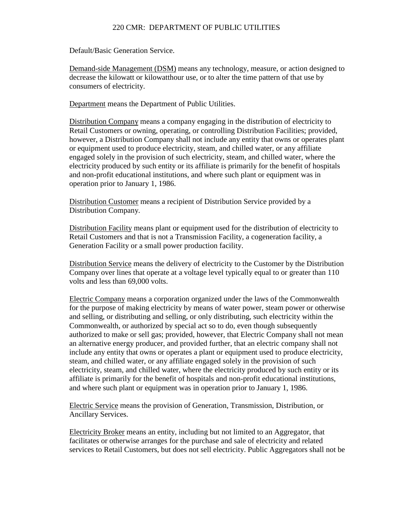Default/Basic Generation Service.

Demand-side Management (DSM) means any technology, measure, or action designed to decrease the kilowatt or kilowatthour use, or to alter the time pattern of that use by consumers of electricity.

Department means the Department of Public Utilities.

Distribution Company means a company engaging in the distribution of electricity to Retail Customers or owning, operating, or controlling Distribution Facilities; provided, however, a Distribution Company shall not include any entity that owns or operates plant or equipment used to produce electricity, steam, and chilled water, or any affiliate engaged solely in the provision of such electricity, steam, and chilled water, where the electricity produced by such entity or its affiliate is primarily for the benefit of hospitals and non-profit educational institutions, and where such plant or equipment was in operation prior to January 1, 1986.

Distribution Customer means a recipient of Distribution Service provided by a Distribution Company.

Distribution Facility means plant or equipment used for the distribution of electricity to Retail Customers and that is not a Transmission Facility, a cogeneration facility, a Generation Facility or a small power production facility.

Distribution Service means the delivery of electricity to the Customer by the Distribution Company over lines that operate at a voltage level typically equal to or greater than 110 volts and less than 69,000 volts.

Electric Company means a corporation organized under the laws of the Commonwealth for the purpose of making electricity by means of water power, steam power or otherwise and selling, or distributing and selling, or only distributing, such electricity within the Commonwealth, or authorized by special act so to do, even though subsequently authorized to make or sell gas; provided, however, that Electric Company shall not mean an alternative energy producer, and provided further, that an electric company shall not include any entity that owns or operates a plant or equipment used to produce electricity, steam, and chilled water, or any affiliate engaged solely in the provision of such electricity, steam, and chilled water, where the electricity produced by such entity or its affiliate is primarily for the benefit of hospitals and non-profit educational institutions, and where such plant or equipment was in operation prior to January 1, 1986.

Electric Service means the provision of Generation, Transmission, Distribution, or Ancillary Services.

Electricity Broker means an entity, including but not limited to an Aggregator, that facilitates or otherwise arranges for the purchase and sale of electricity and related services to Retail Customers, but does not sell electricity. Public Aggregators shall not be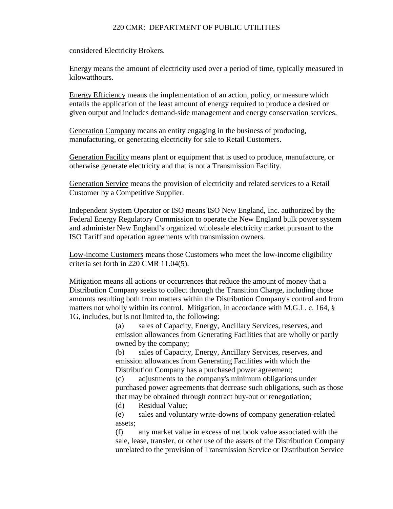considered Electricity Brokers.

Energy means the amount of electricity used over a period of time, typically measured in kilowatthours.

Energy Efficiency means the implementation of an action, policy, or measure which entails the application of the least amount of energy required to produce a desired or given output and includes demand-side management and energy conservation services.

Generation Company means an entity engaging in the business of producing, manufacturing, or generating electricity for sale to Retail Customers.

Generation Facility means plant or equipment that is used to produce, manufacture, or otherwise generate electricity and that is not a Transmission Facility.

Generation Service means the provision of electricity and related services to a Retail Customer by a Competitive Supplier.

Independent System Operator or ISO means ISO New England, Inc. authorized by the Federal Energy Regulatory Commission to operate the New England bulk power system and administer New England's organized wholesale electricity market pursuant to the ISO Tariff and operation agreements with transmission owners.

Low-income Customers means those Customers who meet the low-income eligibility criteria set forth in 220 CMR 11.04(5).

Mitigation means all actions or occurrences that reduce the amount of money that a Distribution Company seeks to collect through the Transition Charge, including those amounts resulting both from matters within the Distribution Company's control and from matters not wholly within its control. Mitigation, in accordance with M.G.L. c. 164, § 1G, includes, but is not limited to, the following:

> (a) sales of Capacity, Energy, Ancillary Services, reserves, and emission allowances from Generating Facilities that are wholly or partly owned by the company;

(b) sales of Capacity, Energy, Ancillary Services, reserves, and emission allowances from Generating Facilities with which the Distribution Company has a purchased power agreement;

(c) adjustments to the company's minimum obligations under purchased power agreements that decrease such obligations, such as those that may be obtained through contract buy-out or renegotiation;

(d) Residual Value;

(e) sales and voluntary write-downs of company generation-related assets;

(f) any market value in excess of net book value associated with the sale, lease, transfer, or other use of the assets of the Distribution Company unrelated to the provision of Transmission Service or Distribution Service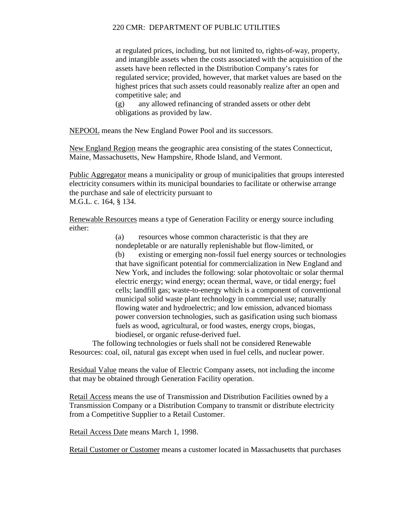at regulated prices, including, but not limited to, rights-of-way, property, and intangible assets when the costs associated with the acquisition of the assets have been reflected in the Distribution Company's rates for regulated service; provided, however, that market values are based on the highest prices that such assets could reasonably realize after an open and competitive sale; and

(g) any allowed refinancing of stranded assets or other debt obligations as provided by law.

NEPOOL means the New England Power Pool and its successors.

New England Region means the geographic area consisting of the states Connecticut, Maine, Massachusetts, New Hampshire, Rhode Island, and Vermont.

Public Aggregator means a municipality or group of municipalities that groups interested electricity consumers within its municipal boundaries to facilitate or otherwise arrange the purchase and sale of electricity pursuant to M.G.L. c. 164, § 134.

Renewable Resources means a type of Generation Facility or energy source including either:

> (a) resources whose common characteristic is that they are nondepletable or are naturally replenishable but flow-limited, or (b) existing or emerging non-fossil fuel energy sources or technologies that have significant potential for commercialization in New England and New York, and includes the following: solar photovoltaic or solar thermal electric energy; wind energy; ocean thermal, wave, or tidal energy; fuel cells; landfill gas; waste-to-energy which is a component of conventional municipal solid waste plant technology in commercial use; naturally flowing water and hydroelectric; and low emission, advanced biomass power conversion technologies, such as gasification using such biomass fuels as wood, agricultural, or food wastes, energy crops, biogas, biodiesel, or organic refuse-derived fuel.

The following technologies or fuels shall not be considered Renewable Resources: coal, oil, natural gas except when used in fuel cells, and nuclear power.

Residual Value means the value of Electric Company assets, not including the income that may be obtained through Generation Facility operation.

Retail Access means the use of Transmission and Distribution Facilities owned by a Transmission Company or a Distribution Company to transmit or distribute electricity from a Competitive Supplier to a Retail Customer.

Retail Access Date means March 1, 1998.

Retail Customer or Customer means a customer located in Massachusetts that purchases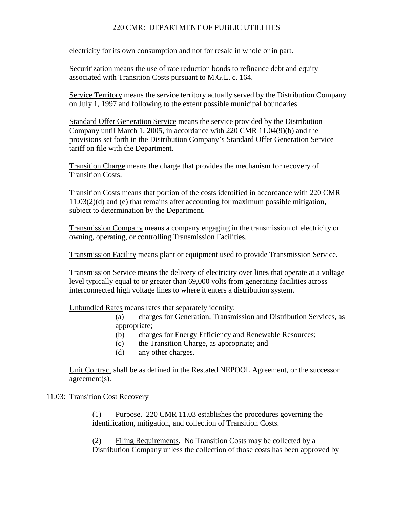electricity for its own consumption and not for resale in whole or in part.

Securitization means the use of rate reduction bonds to refinance debt and equity associated with Transition Costs pursuant to M.G.L. c. 164.

Service Territory means the service territory actually served by the Distribution Company on July 1, 1997 and following to the extent possible municipal boundaries.

Standard Offer Generation Service means the service provided by the Distribution Company until March 1, 2005, in accordance with 220 CMR 11.04(9)(b) and the provisions set forth in the Distribution Company's Standard Offer Generation Service tariff on file with the Department.

Transition Charge means the charge that provides the mechanism for recovery of Transition Costs.

Transition Costs means that portion of the costs identified in accordance with 220 CMR 11.03(2)(d) and (e) that remains after accounting for maximum possible mitigation, subject to determination by the Department.

Transmission Company means a company engaging in the transmission of electricity or owning, operating, or controlling Transmission Facilities.

Transmission Facility means plant or equipment used to provide Transmission Service.

Transmission Service means the delivery of electricity over lines that operate at a voltage level typically equal to or greater than 69,000 volts from generating facilities across interconnected high voltage lines to where it enters a distribution system.

Unbundled Rates means rates that separately identify:

(a) charges for Generation, Transmission and Distribution Services, as appropriate;

- (b) charges for Energy Efficiency and Renewable Resources;
- (c) the Transition Charge, as appropriate; and
- (d) any other charges.

Unit Contract shall be as defined in the Restated NEPOOL Agreement, or the successor agreement(s).

## 11.03: Transition Cost Recovery

(1) Purpose. 220 CMR 11.03 establishes the procedures governing the identification, mitigation, and collection of Transition Costs.

(2) Filing Requirements. No Transition Costs may be collected by a Distribution Company unless the collection of those costs has been approved by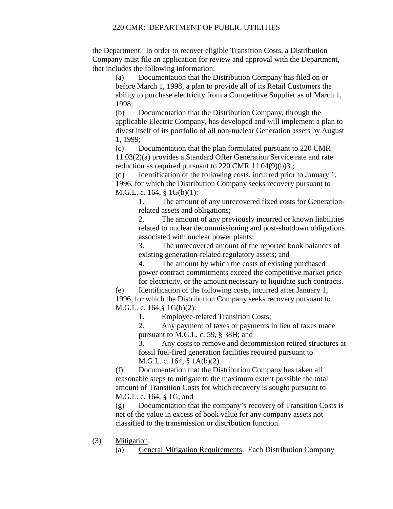the Department. In order to recover eligible Transition Costs, a Distribution Company must file an application for review and approval with the Department, that includes the following information:

(a) Documentation that the Distribution Company has filed on or before March 1, 1998, a plan to provide all of its Retail Customers the ability to purchase electricity from a Competitive Supplier as of March 1, 1998;

(b) Documentation that the Distribution Company, through the applicable Electric Company, has developed and will implement a plan to divest itself of its portfolio of all non-nuclear Generation assets by August 1, 1999;

(c) Documentation that the plan formulated pursuant to 220 CMR 11.03(2)(a) provides a Standard Offer Generation Service rate and rate reduction as required pursuant to 220 CMR 11.04(9)(b)3.;

(d) Identification of the following costs, incurred prior to January 1, 1996, for which the Distribution Company seeks recovery pursuant to M.G.L. c. 164, § 1G(b)(1):

1. The amount of any unrecovered fixed costs for Generationrelated assets and obligations;

2. The amount of any previously incurred or known liabilities related to nuclear decommissioning and post-shutdown obligations associated with nuclear power plants;

3. The unrecovered amount of the reported book balances of existing generation-related regulatory assets; and

4. The amount by which the costs of existing purchased power contract commitments exceed the competitive market price for electricity, or the amount necessary to liquidate such contracts.

(e) Identification of the following costs, incurred after January 1, 1996, for which the Distribution Company seeks recovery pursuant to M.G.L. c. 164,§ 1G(b)(2):

1. Employee-related Transition Costs;

2. Any payment of taxes or payments in lieu of taxes made pursuant to M.G.L. c. 59, § 38H; and

3. Any costs to remove and decommission retired structures at fossil fuel-fired generation facilities required pursuant to M.G.L. c. 164, § 1A(b)(2).

(f) Documentation that the Distribution Company has taken all reasonable steps to mitigate to the maximum extent possible the total amount of Transition Costs for which recovery is sought pursuant to M.G.L. c. 164, § 1G; and

(g) Documentation that the company's recovery of Transition Costs is net of the value in excess of book value for any company assets not classified to the transmission or distribution function.

(3) Mitigation.

(a) General Mitigation Requirements. Each Distribution Company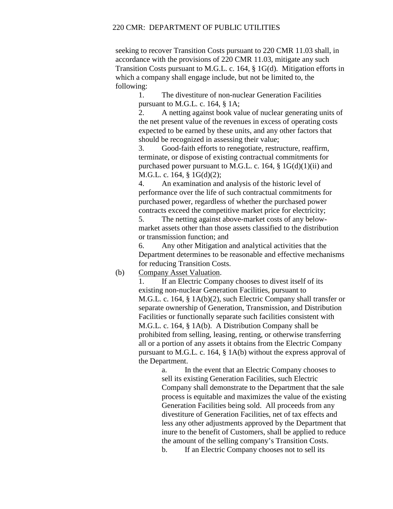seeking to recover Transition Costs pursuant to 220 CMR 11.03 shall, in accordance with the provisions of 220 CMR 11.03, mitigate any such Transition Costs pursuant to M.G.L. c. 164, § 1G(d). Mitigation efforts in which a company shall engage include, but not be limited to, the following:

1. The divestiture of non-nuclear Generation Facilities pursuant to M.G.L. c. 164, § 1A;

2. A netting against book value of nuclear generating units of the net present value of the revenues in excess of operating costs expected to be earned by these units, and any other factors that should be recognized in assessing their value;

3. Good-faith efforts to renegotiate, restructure, reaffirm, terminate, or dispose of existing contractual commitments for purchased power pursuant to M.G.L. c. 164,  $\S$  1G(d)(1)(ii) and M.G.L. c. 164, § 1G(d)(2);

4. An examination and analysis of the historic level of performance over the life of such contractual commitments for purchased power, regardless of whether the purchased power contracts exceed the competitive market price for electricity;

5. The netting against above-market costs of any belowmarket assets other than those assets classified to the distribution or transmission function; and

6. Any other Mitigation and analytical activities that the Department determines to be reasonable and effective mechanisms for reducing Transition Costs.

(b) Company Asset Valuation.

1. If an Electric Company chooses to divest itself of its existing non-nuclear Generation Facilities, pursuant to M.G.L. c. 164, § 1A(b)(2), such Electric Company shall transfer or separate ownership of Generation, Transmission, and Distribution Facilities or functionally separate such facilities consistent with M.G.L. c. 164, § 1A(b). A Distribution Company shall be prohibited from selling, leasing, renting, or otherwise transferring all or a portion of any assets it obtains from the Electric Company pursuant to M.G.L. c. 164, § 1A(b) without the express approval of the Department.

> a. In the event that an Electric Company chooses to sell its existing Generation Facilities, such Electric Company shall demonstrate to the Department that the sale process is equitable and maximizes the value of the existing Generation Facilities being sold. All proceeds from any divestiture of Generation Facilities, net of tax effects and less any other adjustments approved by the Department that inure to the benefit of Customers, shall be applied to reduce the amount of the selling company's Transition Costs. b. If an Electric Company chooses not to sell its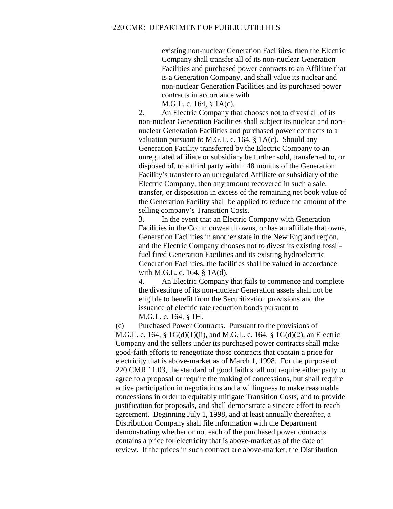existing non-nuclear Generation Facilities, then the Electric Company shall transfer all of its non-nuclear Generation Facilities and purchased power contracts to an Affiliate that is a Generation Company, and shall value its nuclear and non-nuclear Generation Facilities and its purchased power contracts in accordance with

M.G.L. c. 164, § 1A(c).

2. An Electric Company that chooses not to divest all of its non-nuclear Generation Facilities shall subject its nuclear and nonnuclear Generation Facilities and purchased power contracts to a valuation pursuant to M.G.L. c. 164, § 1A(c). Should any Generation Facility transferred by the Electric Company to an unregulated affiliate or subsidiary be further sold, transferred to, or disposed of, to a third party within 48 months of the Generation Facility's transfer to an unregulated Affiliate or subsidiary of the Electric Company, then any amount recovered in such a sale, transfer, or disposition in excess of the remaining net book value of the Generation Facility shall be applied to reduce the amount of the selling company's Transition Costs.

3. In the event that an Electric Company with Generation Facilities in the Commonwealth owns, or has an affiliate that owns, Generation Facilities in another state in the New England region, and the Electric Company chooses not to divest its existing fossilfuel fired Generation Facilities and its existing hydroelectric Generation Facilities, the facilities shall be valued in accordance with M.G.L. c. 164, § 1A(d).

4. An Electric Company that fails to commence and complete the divestiture of its non-nuclear Generation assets shall not be eligible to benefit from the Securitization provisions and the issuance of electric rate reduction bonds pursuant to M.G.L. c. 164, § 1H.

(c) Purchased Power Contracts. Pursuant to the provisions of M.G.L. c. 164, § 1G(d)(1)(ii), and M.G.L. c. 164, § 1G(d)(2), an Electric Company and the sellers under its purchased power contracts shall make good-faith efforts to renegotiate those contracts that contain a price for electricity that is above-market as of March 1, 1998. For the purpose of 220 CMR 11.03, the standard of good faith shall not require either party to agree to a proposal or require the making of concessions, but shall require active participation in negotiations and a willingness to make reasonable concessions in order to equitably mitigate Transition Costs, and to provide justification for proposals, and shall demonstrate a sincere effort to reach agreement. Beginning July 1, 1998, and at least annually thereafter, a Distribution Company shall file information with the Department demonstrating whether or not each of the purchased power contracts contains a price for electricity that is above-market as of the date of review. If the prices in such contract are above-market, the Distribution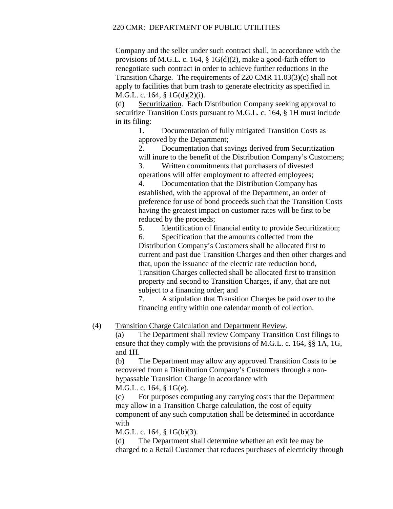Company and the seller under such contract shall, in accordance with the provisions of M.G.L. c. 164, § 1G(d)(2), make a good-faith effort to renegotiate such contract in order to achieve further reductions in the Transition Charge. The requirements of 220 CMR 11.03(3)(c) shall not apply to facilities that burn trash to generate electricity as specified in M.G.L. c. 164, § 1G(d)(2)(i).

(d) Securitization. Each Distribution Company seeking approval to securitize Transition Costs pursuant to M.G.L. c. 164, § 1H must include in its filing:

> 1. Documentation of fully mitigated Transition Costs as approved by the Department;

2. Documentation that savings derived from Securitization will inure to the benefit of the Distribution Company's Customers;

3. Written commitments that purchasers of divested operations will offer employment to affected employees;

4. Documentation that the Distribution Company has established, with the approval of the Department, an order of preference for use of bond proceeds such that the Transition Costs having the greatest impact on customer rates will be first to be reduced by the proceeds;

5. Identification of financial entity to provide Securitization;

6. Specification that the amounts collected from the Distribution Company's Customers shall be allocated first to current and past due Transition Charges and then other charges and that, upon the issuance of the electric rate reduction bond, Transition Charges collected shall be allocated first to transition property and second to Transition Charges, if any, that are not subject to a financing order; and

7. A stipulation that Transition Charges be paid over to the financing entity within one calendar month of collection.

(4) Transition Charge Calculation and Department Review.

(a) The Department shall review Company Transition Cost filings to ensure that they comply with the provisions of M.G.L. c. 164, §§ 1A, 1G, and 1H.

(b) The Department may allow any approved Transition Costs to be recovered from a Distribution Company's Customers through a nonbypassable Transition Charge in accordance with M.G.L. c. 164, § 1G(e).

(c) For purposes computing any carrying costs that the Department may allow in a Transition Charge calculation, the cost of equity component of any such computation shall be determined in accordance with

M.G.L. c. 164, § 1G(b)(3).

(d) The Department shall determine whether an exit fee may be charged to a Retail Customer that reduces purchases of electricity through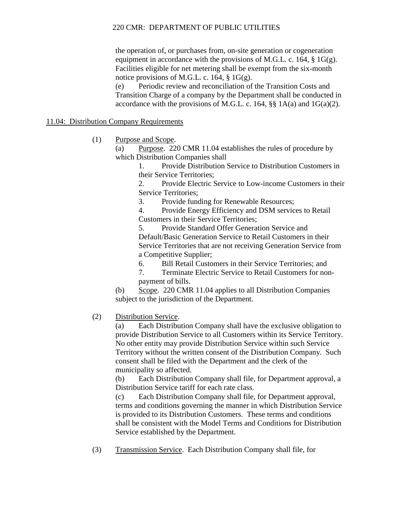the operation of, or purchases from, on-site generation or cogeneration equipment in accordance with the provisions of M.G.L. c. 164,  $\S$  1G(g). Facilities eligible for net metering shall be exempt from the six-month notice provisions of M.G.L. c. 164, § 1G(g).

(e) Periodic review and reconciliation of the Transition Costs and Transition Charge of a company by the Department shall be conducted in accordance with the provisions of M.G.L. c. 164,  $\S$  $I$ A(a) and 1G(a)(2).

# 11.04: Distribution Company Requirements

(1) Purpose and Scope.

(a) Purpose. 220 CMR 11.04 establishes the rules of procedure by which Distribution Companies shall

1. Provide Distribution Service to Distribution Customers in their Service Territories;

2. Provide Electric Service to Low-income Customers in their Service Territories;

3. Provide funding for Renewable Resources;

4. Provide Energy Efficiency and DSM services to Retail Customers in their Service Territories;

5. Provide Standard Offer Generation Service and Default/Basic Generation Service to Retail Customers in their Service Territories that are not receiving Generation Service from a Competitive Supplier;

- 6. Bill Retail Customers in their Service Territories; and
- 7. Terminate Electric Service to Retail Customers for nonpayment of bills.

(b) Scope. 220 CMR 11.04 applies to all Distribution Companies subject to the jurisdiction of the Department.

(2) Distribution Service.

(a) Each Distribution Company shall have the exclusive obligation to provide Distribution Service to all Customers within its Service Territory. No other entity may provide Distribution Service within such Service Territory without the written consent of the Distribution Company. Such consent shall be filed with the Department and the clerk of the municipality so affected.

(b) Each Distribution Company shall file, for Department approval, a Distribution Service tariff for each rate class.

(c) Each Distribution Company shall file, for Department approval, terms and conditions governing the manner in which Distribution Service is provided to its Distribution Customers. These terms and conditions shall be consistent with the Model Terms and Conditions for Distribution Service established by the Department.

(3) Transmission Service. Each Distribution Company shall file, for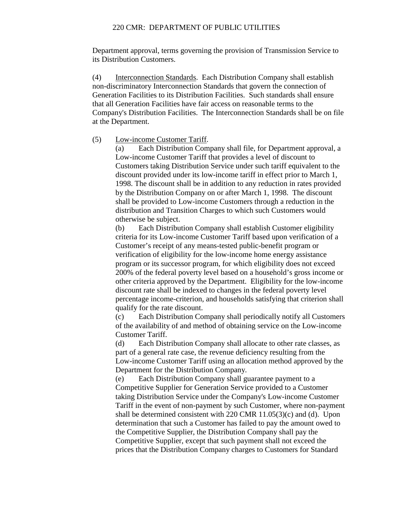Department approval, terms governing the provision of Transmission Service to its Distribution Customers.

(4) Interconnection Standards. Each Distribution Company shall establish non-discriminatory Interconnection Standards that govern the connection of Generation Facilities to its Distribution Facilities. Such standards shall ensure that all Generation Facilities have fair access on reasonable terms to the Company's Distribution Facilities. The Interconnection Standards shall be on file at the Department.

(5) Low-income Customer Tariff.

(a) Each Distribution Company shall file, for Department approval, a Low-income Customer Tariff that provides a level of discount to Customers taking Distribution Service under such tariff equivalent to the discount provided under its low-income tariff in effect prior to March 1, 1998. The discount shall be in addition to any reduction in rates provided by the Distribution Company on or after March 1, 1998. The discount shall be provided to Low-income Customers through a reduction in the distribution and Transition Charges to which such Customers would otherwise be subject.

(b) Each Distribution Company shall establish Customer eligibility criteria for its Low-income Customer Tariff based upon verification of a Customer's receipt of any means-tested public-benefit program or verification of eligibility for the low-income home energy assistance program or its successor program, for which eligibility does not exceed 200% of the federal poverty level based on a household's gross income or other criteria approved by the Department. Eligibility for the low-income discount rate shall be indexed to changes in the federal poverty level percentage income-criterion, and households satisfying that criterion shall qualify for the rate discount.

(c) Each Distribution Company shall periodically notify all Customers of the availability of and method of obtaining service on the Low-income Customer Tariff.

(d) Each Distribution Company shall allocate to other rate classes, as part of a general rate case, the revenue deficiency resulting from the Low-income Customer Tariff using an allocation method approved by the Department for the Distribution Company.

(e) Each Distribution Company shall guarantee payment to a Competitive Supplier for Generation Service provided to a Customer taking Distribution Service under the Company's Low-income Customer Tariff in the event of non-payment by such Customer, where non-payment shall be determined consistent with 220 CMR 11.05(3)(c) and (d). Upon determination that such a Customer has failed to pay the amount owed to the Competitive Supplier, the Distribution Company shall pay the Competitive Supplier, except that such payment shall not exceed the prices that the Distribution Company charges to Customers for Standard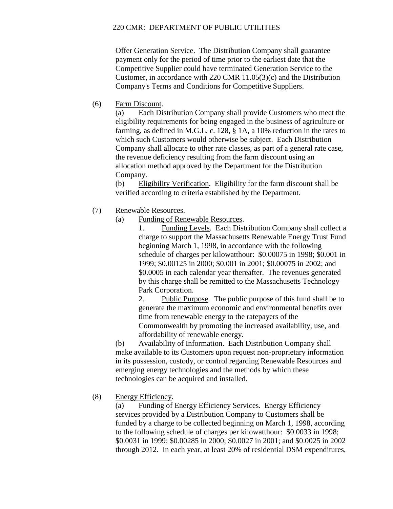Offer Generation Service. The Distribution Company shall guarantee payment only for the period of time prior to the earliest date that the Competitive Supplier could have terminated Generation Service to the Customer, in accordance with 220 CMR 11.05(3)(c) and the Distribution Company's Terms and Conditions for Competitive Suppliers.

(6) Farm Discount.

(a) Each Distribution Company shall provide Customers who meet the eligibility requirements for being engaged in the business of agriculture or farming, as defined in M.G.L. c. 128, § 1A, a 10% reduction in the rates to which such Customers would otherwise be subject. Each Distribution Company shall allocate to other rate classes, as part of a general rate case, the revenue deficiency resulting from the farm discount using an allocation method approved by the Department for the Distribution Company.

(b) Eligibility Verification. Eligibility for the farm discount shall be verified according to criteria established by the Department.

- (7) Renewable Resources.
	- (a) Funding of Renewable Resources.

1. Funding Levels. Each Distribution Company shall collect a charge to support the Massachusetts Renewable Energy Trust Fund beginning March 1, 1998, in accordance with the following schedule of charges per kilowatthour: \$0.00075 in 1998; \$0.001 in 1999; \$0.00125 in 2000; \$0.001 in 2001; \$0.00075 in 2002; and \$0.0005 in each calendar year thereafter. The revenues generated by this charge shall be remitted to the Massachusetts Technology Park Corporation.

2. Public Purpose. The public purpose of this fund shall be to generate the maximum economic and environmental benefits over time from renewable energy to the ratepayers of the Commonwealth by promoting the increased availability, use, and affordability of renewable energy.

(b) Availability of Information. Each Distribution Company shall make available to its Customers upon request non-proprietary information in its possession, custody, or control regarding Renewable Resources and emerging energy technologies and the methods by which these technologies can be acquired and installed.

(8) Energy Efficiency.

(a) Funding of Energy Efficiency Services. Energy Efficiency services provided by a Distribution Company to Customers shall be funded by a charge to be collected beginning on March 1, 1998, according to the following schedule of charges per kilowatthour: \$0.0033 in 1998; \$0.0031 in 1999; \$0.00285 in 2000; \$0.0027 in 2001; and \$0.0025 in 2002 through 2012. In each year, at least 20% of residential DSM expenditures,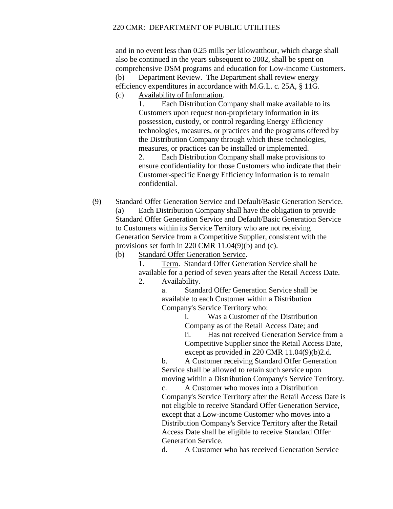and in no event less than 0.25 mills per kilowatthour, which charge shall also be continued in the years subsequent to 2002, shall be spent on comprehensive DSM programs and education for Low-income Customers. (b) Department Review. The Department shall review energy efficiency expenditures in accordance with M.G.L. c. 25A, § 11G.

(c) Availability of Information.

1. Each Distribution Company shall make available to its Customers upon request non-proprietary information in its possession, custody, or control regarding Energy Efficiency technologies, measures, or practices and the programs offered by the Distribution Company through which these technologies, measures, or practices can be installed or implemented.

2. Each Distribution Company shall make provisions to ensure confidentiality for those Customers who indicate that their Customer-specific Energy Efficiency information is to remain confidential.

(9) Standard Offer Generation Service and Default/Basic Generation Service. (a) Each Distribution Company shall have the obligation to provide Standard Offer Generation Service and Default/Basic Generation Service to Customers within its Service Territory who are not receiving Generation Service from a Competitive Supplier, consistent with the provisions set forth in 220 CMR 11.04(9)(b) and (c).

(b) Standard Offer Generation Service.

1. Term. Standard Offer Generation Service shall be available for a period of seven years after the Retail Access Date.

2. Availability.

a. Standard Offer Generation Service shall be available to each Customer within a Distribution Company's Service Territory who:

i. Was a Customer of the Distribution Company as of the Retail Access Date; and

ii. Has not received Generation Service from a Competitive Supplier since the Retail Access Date, except as provided in 220 CMR 11.04(9)(b)2.d.

b. A Customer receiving Standard Offer Generation Service shall be allowed to retain such service upon moving within a Distribution Company's Service Territory.

c. A Customer who moves into a Distribution Company's Service Territory after the Retail Access Date is not eligible to receive Standard Offer Generation Service, except that a Low-income Customer who moves into a Distribution Company's Service Territory after the Retail Access Date shall be eligible to receive Standard Offer Generation Service.

d. A Customer who has received Generation Service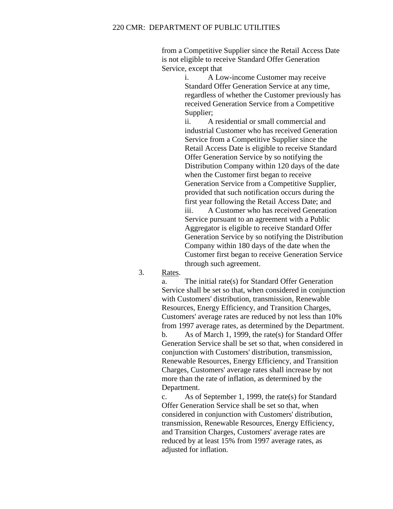from a Competitive Supplier since the Retail Access Date is not eligible to receive Standard Offer Generation Service, except that

> i. A Low-income Customer may receive Standard Offer Generation Service at any time, regardless of whether the Customer previously has received Generation Service from a Competitive Supplier;

ii. A residential or small commercial and industrial Customer who has received Generation Service from a Competitive Supplier since the Retail Access Date is eligible to receive Standard Offer Generation Service by so notifying the Distribution Company within 120 days of the date when the Customer first began to receive Generation Service from a Competitive Supplier, provided that such notification occurs during the first year following the Retail Access Date; and iii. A Customer who has received Generation Service pursuant to an agreement with a Public Aggregator is eligible to receive Standard Offer Generation Service by so notifying the Distribution Company within 180 days of the date when the Customer first began to receive Generation Service

3. Rates.

a. The initial rate(s) for Standard Offer Generation Service shall be set so that, when considered in conjunction with Customers' distribution, transmission, Renewable Resources, Energy Efficiency, and Transition Charges, Customers' average rates are reduced by not less than 10% from 1997 average rates, as determined by the Department. b. As of March 1, 1999, the rate(s) for Standard Offer Generation Service shall be set so that, when considered in conjunction with Customers' distribution, transmission, Renewable Resources, Energy Efficiency, and Transition Charges, Customers' average rates shall increase by not more than the rate of inflation, as determined by the Department.

through such agreement.

c. As of September 1, 1999, the rate(s) for Standard Offer Generation Service shall be set so that, when considered in conjunction with Customers' distribution, transmission, Renewable Resources, Energy Efficiency, and Transition Charges, Customers' average rates are reduced by at least 15% from 1997 average rates, as adjusted for inflation.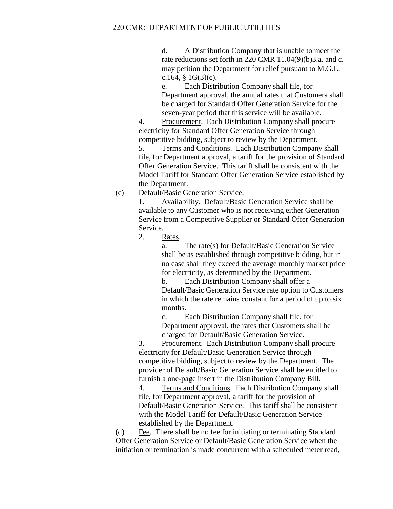d. A Distribution Company that is unable to meet the rate reductions set forth in 220 CMR 11.04(9)(b)3.a. and c. may petition the Department for relief pursuant to M.G.L. c.164, §  $1G(3)(c)$ .

e. Each Distribution Company shall file, for Department approval, the annual rates that Customers shall be charged for Standard Offer Generation Service for the seven-year period that this service will be available.

4. Procurement. Each Distribution Company shall procure electricity for Standard Offer Generation Service through competitive bidding, subject to review by the Department.

5. Terms and Conditions. Each Distribution Company shall file, for Department approval, a tariff for the provision of Standard Offer Generation Service. This tariff shall be consistent with the Model Tariff for Standard Offer Generation Service established by the Department.

## (c) Default/Basic Generation Service.

1. Availability. Default/Basic Generation Service shall be available to any Customer who is not receiving either Generation Service from a Competitive Supplier or Standard Offer Generation Service.

2. Rates.

a. The rate(s) for Default/Basic Generation Service shall be as established through competitive bidding, but in no case shall they exceed the average monthly market price for electricity, as determined by the Department.

b. Each Distribution Company shall offer a Default/Basic Generation Service rate option to Customers in which the rate remains constant for a period of up to six months.

c. Each Distribution Company shall file, for Department approval, the rates that Customers shall be charged for Default/Basic Generation Service.

3. Procurement. Each Distribution Company shall procure electricity for Default/Basic Generation Service through competitive bidding, subject to review by the Department. The provider of Default/Basic Generation Service shall be entitled to furnish a one-page insert in the Distribution Company Bill.

4. Terms and Conditions. Each Distribution Company shall file, for Department approval, a tariff for the provision of Default/Basic Generation Service. This tariff shall be consistent with the Model Tariff for Default/Basic Generation Service established by the Department.

(d) Fee. There shall be no fee for initiating or terminating Standard Offer Generation Service or Default/Basic Generation Service when the initiation or termination is made concurrent with a scheduled meter read,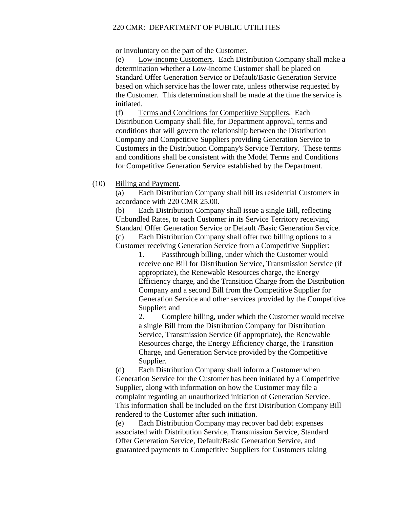or involuntary on the part of the Customer.

(e) Low-income Customers. Each Distribution Company shall make a determination whether a Low-income Customer shall be placed on Standard Offer Generation Service or Default/Basic Generation Service based on which service has the lower rate, unless otherwise requested by the Customer. This determination shall be made at the time the service is initiated.

(f) Terms and Conditions for Competitive Suppliers. Each Distribution Company shall file, for Department approval, terms and conditions that will govern the relationship between the Distribution Company and Competitive Suppliers providing Generation Service to Customers in the Distribution Company's Service Territory. These terms and conditions shall be consistent with the Model Terms and Conditions for Competitive Generation Service established by the Department.

# (10) Billing and Payment.

(a) Each Distribution Company shall bill its residential Customers in accordance with 220 CMR 25.00.

(b) Each Distribution Company shall issue a single Bill, reflecting Unbundled Rates, to each Customer in its Service Territory receiving Standard Offer Generation Service or Default /Basic Generation Service.

(c) Each Distribution Company shall offer two billing options to a Customer receiving Generation Service from a Competitive Supplier:

1. Passthrough billing, under which the Customer would receive one Bill for Distribution Service, Transmission Service (if appropriate), the Renewable Resources charge, the Energy Efficiency charge, and the Transition Charge from the Distribution Company and a second Bill from the Competitive Supplier for Generation Service and other services provided by the Competitive Supplier; and

2. Complete billing, under which the Customer would receive a single Bill from the Distribution Company for Distribution Service, Transmission Service (if appropriate), the Renewable Resources charge, the Energy Efficiency charge, the Transition Charge, and Generation Service provided by the Competitive Supplier.

(d) Each Distribution Company shall inform a Customer when Generation Service for the Customer has been initiated by a Competitive Supplier, along with information on how the Customer may file a complaint regarding an unauthorized initiation of Generation Service. This information shall be included on the first Distribution Company Bill rendered to the Customer after such initiation.

(e) Each Distribution Company may recover bad debt expenses associated with Distribution Service, Transmission Service, Standard Offer Generation Service, Default/Basic Generation Service, and guaranteed payments to Competitive Suppliers for Customers taking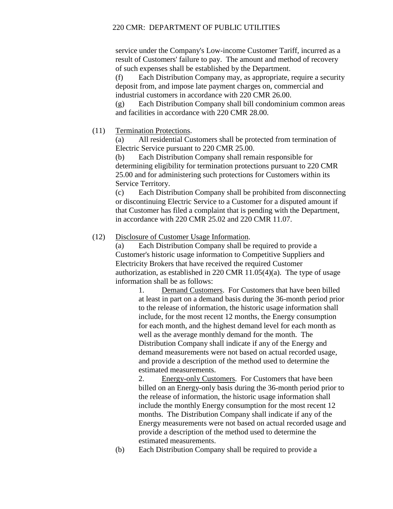service under the Company's Low-income Customer Tariff, incurred as a result of Customers' failure to pay. The amount and method of recovery of such expenses shall be established by the Department.

(f) Each Distribution Company may, as appropriate, require a security deposit from, and impose late payment charges on, commercial and industrial customers in accordance with 220 CMR 26.00.

(g) Each Distribution Company shall bill condominium common areas and facilities in accordance with 220 CMR 28.00.

# (11) Termination Protections.

(a) All residential Customers shall be protected from termination of Electric Service pursuant to 220 CMR 25.00.

(b) Each Distribution Company shall remain responsible for determining eligibility for termination protections pursuant to 220 CMR 25.00 and for administering such protections for Customers within its Service Territory.

(c) Each Distribution Company shall be prohibited from disconnecting or discontinuing Electric Service to a Customer for a disputed amount if that Customer has filed a complaint that is pending with the Department, in accordance with 220 CMR 25.02 and 220 CMR 11.07.

# (12) Disclosure of Customer Usage Information.

(a) Each Distribution Company shall be required to provide a Customer's historic usage information to Competitive Suppliers and Electricity Brokers that have received the required Customer authorization, as established in 220 CMR 11.05(4)(a). The type of usage information shall be as follows:

> 1. Demand Customers. For Customers that have been billed at least in part on a demand basis during the 36-month period prior to the release of information, the historic usage information shall include, for the most recent 12 months, the Energy consumption for each month, and the highest demand level for each month as well as the average monthly demand for the month. The Distribution Company shall indicate if any of the Energy and demand measurements were not based on actual recorded usage, and provide a description of the method used to determine the estimated measurements.

> 2. Energy-only Customers. For Customers that have been billed on an Energy-only basis during the 36-month period prior to the release of information, the historic usage information shall include the monthly Energy consumption for the most recent 12 months. The Distribution Company shall indicate if any of the Energy measurements were not based on actual recorded usage and provide a description of the method used to determine the estimated measurements.

(b) Each Distribution Company shall be required to provide a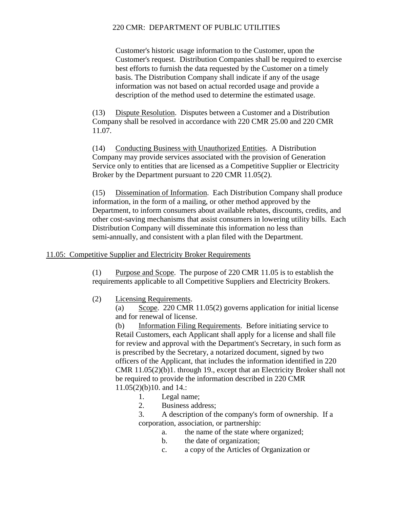Customer's historic usage information to the Customer, upon the Customer's request. Distribution Companies shall be required to exercise best efforts to furnish the data requested by the Customer on a timely basis. The Distribution Company shall indicate if any of the usage information was not based on actual recorded usage and provide a description of the method used to determine the estimated usage.

(13) Dispute Resolution. Disputes between a Customer and a Distribution Company shall be resolved in accordance with 220 CMR 25.00 and 220 CMR 11.07.

(14) Conducting Business with Unauthorized Entities. A Distribution Company may provide services associated with the provision of Generation Service only to entities that are licensed as a Competitive Supplier or Electricity Broker by the Department pursuant to 220 CMR 11.05(2).

(15) Dissemination of Information. Each Distribution Company shall produce information, in the form of a mailing, or other method approved by the Department, to inform consumers about available rebates, discounts, credits, and other cost-saving mechanisms that assist consumers in lowering utility bills. Each Distribution Company will disseminate this information no less than semi-annually, and consistent with a plan filed with the Department.

# 11.05: Competitive Supplier and Electricity Broker Requirements

(1) Purpose and Scope. The purpose of 220 CMR 11.05 is to establish the requirements applicable to all Competitive Suppliers and Electricity Brokers.

(2) Licensing Requirements.

(a) Scope. 220 CMR 11.05(2) governs application for initial license and for renewal of license.

(b) Information Filing Requirements. Before initiating service to Retail Customers, each Applicant shall apply for a license and shall file for review and approval with the Department's Secretary, in such form as is prescribed by the Secretary, a notarized document, signed by two officers of the Applicant, that includes the information identified in 220 CMR 11.05(2)(b)1. through 19., except that an Electricity Broker shall not be required to provide the information described in 220 CMR 11.05(2)(b)10. and 14.:

- 1. Legal name;
- 2. Business address;

3. A description of the company's form of ownership. If a corporation, association, or partnership:

- a. the name of the state where organized;
- b. the date of organization;
- c. a copy of the Articles of Organization or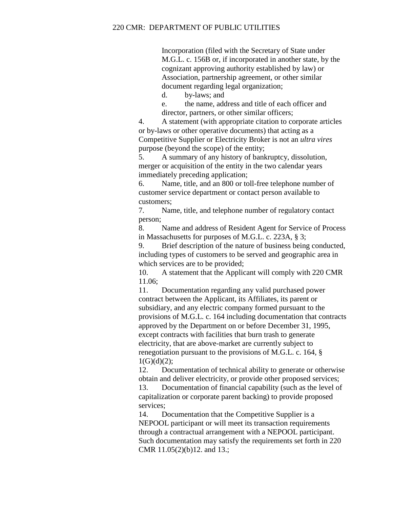Incorporation (filed with the Secretary of State under M.G.L. c. 156B or, if incorporated in another state, by the cognizant approving authority established by law) or Association, partnership agreement, or other similar document regarding legal organization;

d. by-laws; and

e. the name, address and title of each officer and director, partners, or other similar officers;

4. A statement (with appropriate citation to corporate articles or by-laws or other operative documents) that acting as a Competitive Supplier or Electricity Broker is not an *ultra vires*  purpose (beyond the scope) of the entity;

5. A summary of any history of bankruptcy, dissolution, merger or acquisition of the entity in the two calendar years immediately preceding application;

6. Name, title, and an 800 or toll-free telephone number of customer service department or contact person available to customers;

7. Name, title, and telephone number of regulatory contact person;

8. Name and address of Resident Agent for Service of Process in Massachusetts for purposes of M.G.L. c. 223A, § 3;

9. Brief description of the nature of business being conducted, including types of customers to be served and geographic area in which services are to be provided;

10. A statement that the Applicant will comply with 220 CMR 11.06;

11. Documentation regarding any valid purchased power contract between the Applicant, its Affiliates, its parent or subsidiary, and any electric company formed pursuant to the provisions of M.G.L. c. 164 including documentation that contracts approved by the Department on or before December 31, 1995, except contracts with facilities that burn trash to generate electricity, that are above-market are currently subject to renegotiation pursuant to the provisions of M.G.L. c. 164, §  $1(G)(d)(2)$ ;

12. Documentation of technical ability to generate or otherwise obtain and deliver electricity, or provide other proposed services;

13. Documentation of financial capability (such as the level of capitalization or corporate parent backing) to provide proposed services;

14. Documentation that the Competitive Supplier is a NEPOOL participant or will meet its transaction requirements through a contractual arrangement with a NEPOOL participant. Such documentation may satisfy the requirements set forth in 220 CMR 11.05(2)(b)12. and 13.;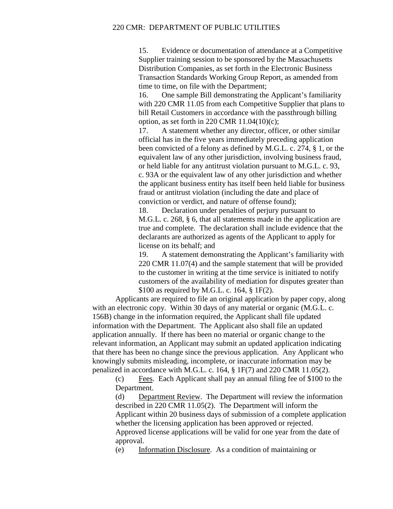15. Evidence or documentation of attendance at a Competitive Supplier training session to be sponsored by the Massachusetts Distribution Companies, as set forth in the Electronic Business Transaction Standards Working Group Report, as amended from time to time, on file with the Department;

16. One sample Bill demonstrating the Applicant's familiarity with 220 CMR 11.05 from each Competitive Supplier that plans to bill Retail Customers in accordance with the passthrough billing option, as set forth in 220 CMR 11.04(10)(c);

17. A statement whether any director, officer, or other similar official has in the five years immediately preceding application been convicted of a felony as defined by M.G.L. c. 274, § 1, or the equivalent law of any other jurisdiction, involving business fraud, or held liable for any antitrust violation pursuant to M.G.L. c. 93, c. 93A or the equivalent law of any other jurisdiction and whether the applicant business entity has itself been held liable for business fraud or antitrust violation (including the date and place of conviction or verdict, and nature of offense found);

18. Declaration under penalties of perjury pursuant to M.G.L. c. 268, § 6, that all statements made in the application are true and complete. The declaration shall include evidence that the declarants are authorized as agents of the Applicant to apply for license on its behalf; and

19. A statement demonstrating the Applicant's familiarity with 220 CMR 11.07(4) and the sample statement that will be provided to the customer in writing at the time service is initiated to notify customers of the availability of mediation for disputes greater than \$100 as required by M.G.L. c. 164, § 1F(2).

Applicants are required to file an original application by paper copy, along with an electronic copy. Within 30 days of any material or organic (M.G.L. c. 156B) change in the information required, the Applicant shall file updated information with the Department. The Applicant also shall file an updated application annually. If there has been no material or organic change to the relevant information, an Applicant may submit an updated application indicating that there has been no change since the previous application. Any Applicant who knowingly submits misleading, incomplete, or inaccurate information may be penalized in accordance with M.G.L. c. 164, § 1F(7) and 220 CMR 11.05(2).

(c) Fees. Each Applicant shall pay an annual filing fee of \$100 to the Department.

(d) Department Review. The Department will review the information described in 220 CMR 11.05(2). The Department will inform the Applicant within 20 business days of submission of a complete application whether the licensing application has been approved or rejected. Approved license applications will be valid for one year from the date of approval.

(e) Information Disclosure. As a condition of maintaining or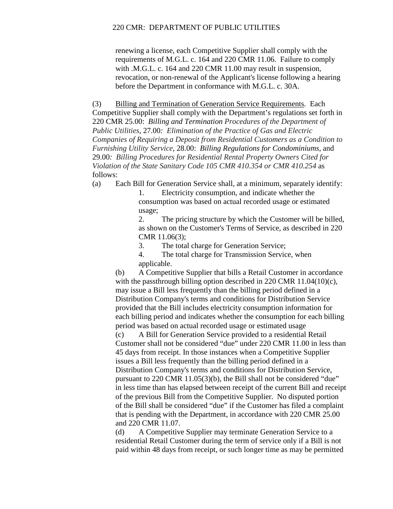renewing a license, each Competitive Supplier shall comply with the requirements of M.G.L. c. 164 and 220 CMR 11.06. Failure to comply with .M.G.L. c. 164 and 220 CMR 11.00 may result in suspension, revocation, or non-renewal of the Applicant's license following a hearing before the Department in conformance with M.G.L. c. 30A.

(3) Billing and Termination of Generation Service Requirements. Each Competitive Supplier shall comply with the Department's regulations set forth in 220 CMR 25.00: *Billing and Termination Procedures of the Department of Public Utilities*, 27.00*: Elimination of the Practice of Gas and Electric Companies of Requiring a Deposit from Residential Customers as a Condition to Furnishing Utility Service*, 28.00: *Billing Regulations for Condominiums*, and 29.00*: Billing Procedures for Residential Rental Property Owners Cited for Violation of the State Sanitary Code 105 CMR 410.354 or CMR 410.254* as follows:

(a) Each Bill for Generation Service shall, at a minimum, separately identify:

1. Electricity consumption, and indicate whether the consumption was based on actual recorded usage or estimated usage;

2. The pricing structure by which the Customer will be billed, as shown on the Customer's Terms of Service, as described in 220 CMR 11.06(3);

3. The total charge for Generation Service;

4. The total charge for Transmission Service, when applicable.

(b) A Competitive Supplier that bills a Retail Customer in accordance with the passthrough billing option described in 220 CMR 11.04(10)(c), may issue a Bill less frequently than the billing period defined in a Distribution Company's terms and conditions for Distribution Service provided that the Bill includes electricity consumption information for each billing period and indicates whether the consumption for each billing period was based on actual recorded usage or estimated usage

(c) A Bill for Generation Service provided to a residential Retail Customer shall not be considered "due" under 220 CMR 11.00 in less than 45 days from receipt. In those instances when a Competitive Supplier issues a Bill less frequently than the billing period defined in a Distribution Company's terms and conditions for Distribution Service, pursuant to 220 CMR 11.05(3)(b), the Bill shall not be considered "due" in less time than has elapsed between receipt of the current Bill and receipt of the previous Bill from the Competitive Supplier. No disputed portion of the Bill shall be considered "due" if the Customer has filed a complaint that is pending with the Department, in accordance with 220 CMR 25.00 and 220 CMR 11.07.

(d) A Competitive Supplier may terminate Generation Service to a residential Retail Customer during the term of service only if a Bill is not paid within 48 days from receipt, or such longer time as may be permitted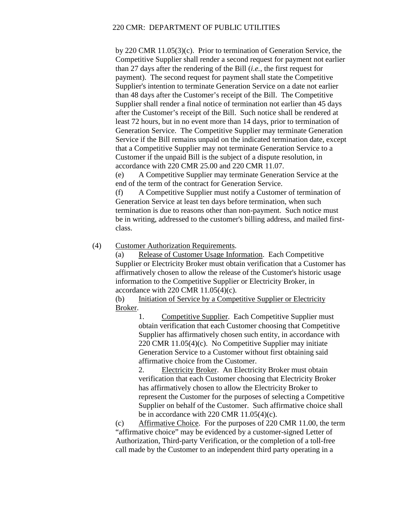by 220 CMR 11.05(3)(c). Prior to termination of Generation Service, the Competitive Supplier shall render a second request for payment not earlier than 27 days after the rendering of the Bill (*i.e.*, the first request for payment). The second request for payment shall state the Competitive Supplier's intention to terminate Generation Service on a date not earlier than 48 days after the Customer's receipt of the Bill. The Competitive Supplier shall render a final notice of termination not earlier than 45 days after the Customer's receipt of the Bill. Such notice shall be rendered at least 72 hours, but in no event more than 14 days, prior to termination of Generation Service. The Competitive Supplier may terminate Generation Service if the Bill remains unpaid on the indicated termination date, except that a Competitive Supplier may not terminate Generation Service to a Customer if the unpaid Bill is the subject of a dispute resolution, in accordance with 220 CMR 25.00 and 220 CMR 11.07.

(e) A Competitive Supplier may terminate Generation Service at the end of the term of the contract for Generation Service.

(f) A Competitive Supplier must notify a Customer of termination of Generation Service at least ten days before termination, when such termination is due to reasons other than non-payment. Such notice must be in writing, addressed to the customer's billing address, and mailed firstclass.

(4) Customer Authorization Requirements.

(a) Release of Customer Usage Information. Each Competitive Supplier or Electricity Broker must obtain verification that a Customer has affirmatively chosen to allow the release of the Customer's historic usage information to the Competitive Supplier or Electricity Broker, in accordance with  $220$  CMR  $11.05(4)$ (c).

(b) Initiation of Service by a Competitive Supplier or Electricity Broker.

1. Competitive Supplier. Each Competitive Supplier must obtain verification that each Customer choosing that Competitive Supplier has affirmatively chosen such entity, in accordance with 220 CMR 11.05(4)(c). No Competitive Supplier may initiate Generation Service to a Customer without first obtaining said affirmative choice from the Customer.

2. Electricity Broker. An Electricity Broker must obtain verification that each Customer choosing that Electricity Broker has affirmatively chosen to allow the Electricity Broker to represent the Customer for the purposes of selecting a Competitive Supplier on behalf of the Customer. Such affirmative choice shall be in accordance with 220 CMR 11.05(4)(c).

(c) Affirmative Choice. For the purposes of 220 CMR 11.00, the term "affirmative choice" may be evidenced by a customer-signed Letter of Authorization, Third-party Verification, or the completion of a toll-free call made by the Customer to an independent third party operating in a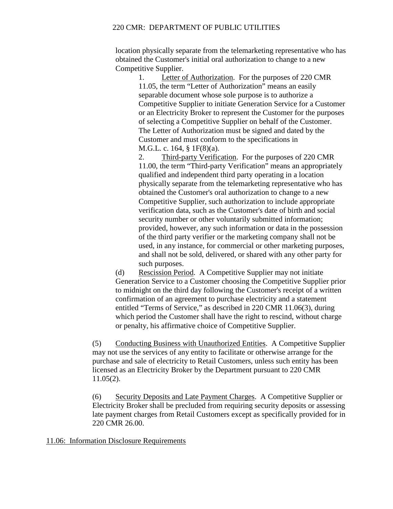location physically separate from the telemarketing representative who has obtained the Customer's initial oral authorization to change to a new Competitive Supplier.

1. Letter of Authorization. For the purposes of 220 CMR 11.05, the term "Letter of Authorization" means an easily separable document whose sole purpose is to authorize a Competitive Supplier to initiate Generation Service for a Customer or an Electricity Broker to represent the Customer for the purposes of selecting a Competitive Supplier on behalf of the Customer. The Letter of Authorization must be signed and dated by the Customer and must conform to the specifications in M.G.L. c. 164, § 1F(8)(a).

2. Third-party Verification. For the purposes of 220 CMR 11.00, the term "Third-party Verification" means an appropriately qualified and independent third party operating in a location physically separate from the telemarketing representative who has obtained the Customer's oral authorization to change to a new Competitive Supplier, such authorization to include appropriate verification data, such as the Customer's date of birth and social security number or other voluntarily submitted information; provided, however, any such information or data in the possession of the third party verifier or the marketing company shall not be used, in any instance, for commercial or other marketing purposes, and shall not be sold, delivered, or shared with any other party for such purposes.

(d) Rescission Period. A Competitive Supplier may not initiate Generation Service to a Customer choosing the Competitive Supplier prior to midnight on the third day following the Customer's receipt of a written confirmation of an agreement to purchase electricity and a statement entitled "Terms of Service," as described in 220 CMR 11.06(3), during which period the Customer shall have the right to rescind, without charge or penalty, his affirmative choice of Competitive Supplier.

(5) Conducting Business with Unauthorized Entities. A Competitive Supplier may not use the services of any entity to facilitate or otherwise arrange for the purchase and sale of electricity to Retail Customers, unless such entity has been licensed as an Electricity Broker by the Department pursuant to 220 CMR 11.05(2).

(6) Security Deposits and Late Payment Charges. A Competitive Supplier or Electricity Broker shall be precluded from requiring security deposits or assessing late payment charges from Retail Customers except as specifically provided for in 220 CMR 26.00.

11.06: Information Disclosure Requirements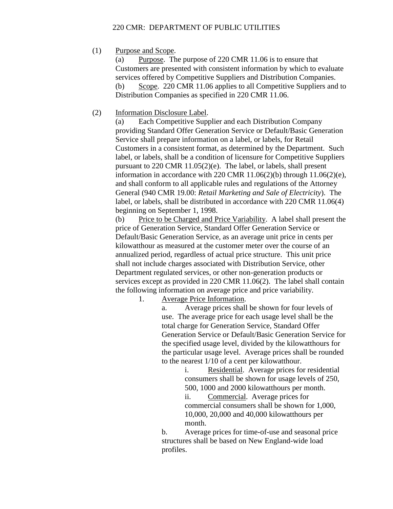(1) Purpose and Scope.

(a) Purpose. The purpose of 220 CMR 11.06 is to ensure that Customers are presented with consistent information by which to evaluate services offered by Competitive Suppliers and Distribution Companies. (b) Scope. 220 CMR 11.06 applies to all Competitive Suppliers and to Distribution Companies as specified in 220 CMR 11.06.

# (2) Information Disclosure Label.

(a) Each Competitive Supplier and each Distribution Company providing Standard Offer Generation Service or Default/Basic Generation Service shall prepare information on a label, or labels, for Retail Customers in a consistent format, as determined by the Department. Such label, or labels, shall be a condition of licensure for Competitive Suppliers pursuant to 220 CMR 11.05(2)(e). The label, or labels, shall present information in accordance with 220 CMR  $11.06(2)(b)$  through  $11.06(2)(e)$ , and shall conform to all applicable rules and regulations of the Attorney General (940 CMR 19.00: *Retail Marketing and Sale of Electricity*). The label, or labels, shall be distributed in accordance with 220 CMR 11.06(4) beginning on September 1, 1998.

(b) Price to be Charged and Price Variability. A label shall present the price of Generation Service, Standard Offer Generation Service or Default/Basic Generation Service, as an average unit price in cents per kilowatthour as measured at the customer meter over the course of an annualized period, regardless of actual price structure. This unit price shall not include charges associated with Distribution Service, other Department regulated services, or other non-generation products or services except as provided in 220 CMR 11.06(2). The label shall contain the following information on average price and price variability.

1. Average Price Information.

a. Average prices shall be shown for four levels of use. The average price for each usage level shall be the total charge for Generation Service, Standard Offer Generation Service or Default/Basic Generation Service for the specified usage level, divided by the kilowatthours for the particular usage level. Average prices shall be rounded to the nearest 1/10 of a cent per kilowatthour.

i. Residential. Average prices for residential consumers shall be shown for usage levels of 250, 500, 1000 and 2000 kilowatthours per month.

ii. Commercial. Average prices for commercial consumers shall be shown for 1,000, 10,000, 20,000 and 40,000 kilowatthours per month.

b. Average prices for time-of-use and seasonal price structures shall be based on New England-wide load profiles.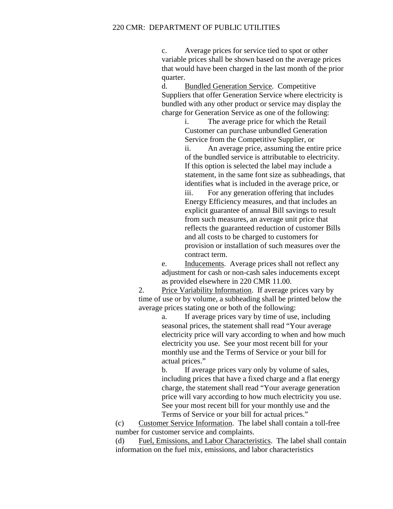c. Average prices for service tied to spot or other variable prices shall be shown based on the average prices that would have been charged in the last month of the prior quarter.

d. Bundled Generation Service. Competitive Suppliers that offer Generation Service where electricity is bundled with any other product or service may display the charge for Generation Service as one of the following:

> i. The average price for which the Retail Customer can purchase unbundled Generation Service from the Competitive Supplier, or ii. An average price, assuming the entire price of the bundled service is attributable to electricity. If this option is selected the label may include a statement, in the same font size as subheadings, that identifies what is included in the average price, or iii. For any generation offering that includes Energy Efficiency measures, and that includes an explicit guarantee of annual Bill savings to result from such measures, an average unit price that reflects the guaranteed reduction of customer Bills and all costs to be charged to customers for provision or installation of such measures over the contract term.

e. Inducements. Average prices shall not reflect any adjustment for cash or non-cash sales inducements except as provided elsewhere in 220 CMR 11.00.

2. Price Variability Information. If average prices vary by time of use or by volume, a subheading shall be printed below the average prices stating one or both of the following:

a. If average prices vary by time of use, including seasonal prices, the statement shall read "Your average electricity price will vary according to when and how much electricity you use. See your most recent bill for your monthly use and the Terms of Service or your bill for actual prices."

b. If average prices vary only by volume of sales, including prices that have a fixed charge and a flat energy charge, the statement shall read "Your average generation price will vary according to how much electricity you use. See your most recent bill for your monthly use and the Terms of Service or your bill for actual prices."

(c) Customer Service Information. The label shall contain a toll-free number for customer service and complaints.

(d) Fuel, Emissions, and Labor Characteristics. The label shall contain information on the fuel mix, emissions, and labor characteristics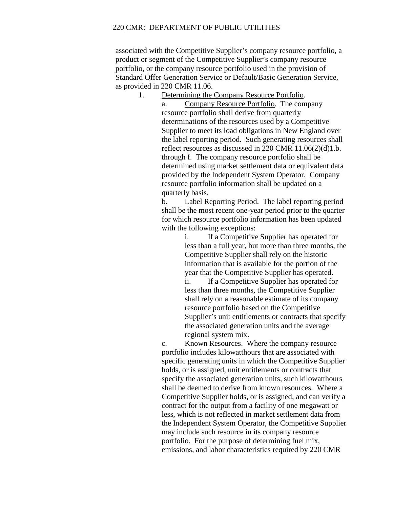associated with the Competitive Supplier's company resource portfolio, a product or segment of the Competitive Supplier's company resource portfolio, or the company resource portfolio used in the provision of Standard Offer Generation Service or Default/Basic Generation Service, as provided in 220 CMR 11.06.

1. Determining the Company Resource Portfolio.

a. Company Resource Portfolio. The company resource portfolio shall derive from quarterly determinations of the resources used by a Competitive Supplier to meet its load obligations in New England over the label reporting period. Such generating resources shall reflect resources as discussed in 220 CMR 11.06(2)(d)1.b. through f. The company resource portfolio shall be determined using market settlement data or equivalent data provided by the Independent System Operator. Company resource portfolio information shall be updated on a quarterly basis.

b. Label Reporting Period. The label reporting period shall be the most recent one-year period prior to the quarter for which resource portfolio information has been updated with the following exceptions:

> i. If a Competitive Supplier has operated for less than a full year, but more than three months, the Competitive Supplier shall rely on the historic information that is available for the portion of the year that the Competitive Supplier has operated.

> ii. If a Competitive Supplier has operated for less than three months, the Competitive Supplier shall rely on a reasonable estimate of its company resource portfolio based on the Competitive Supplier's unit entitlements or contracts that specify the associated generation units and the average regional system mix.

c. Known Resources. Where the company resource portfolio includes kilowatthours that are associated with specific generating units in which the Competitive Supplier holds, or is assigned, unit entitlements or contracts that specify the associated generation units, such kilowatthours shall be deemed to derive from known resources. Where a Competitive Supplier holds, or is assigned, and can verify a contract for the output from a facility of one megawatt or less, which is not reflected in market settlement data from the Independent System Operator, the Competitive Supplier may include such resource in its company resource portfolio. For the purpose of determining fuel mix, emissions, and labor characteristics required by 220 CMR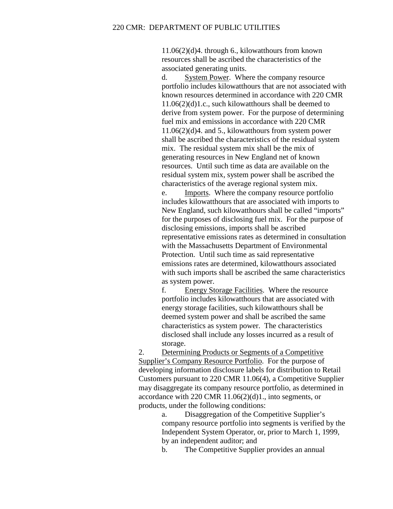11.06(2)(d)4. through 6., kilowatthours from known resources shall be ascribed the characteristics of the associated generating units.

d. System Power. Where the company resource portfolio includes kilowatthours that are not associated with known resources determined in accordance with 220 CMR 11.06(2)(d)1.c., such kilowatthours shall be deemed to derive from system power. For the purpose of determining fuel mix and emissions in accordance with 220 CMR 11.06(2)(d)4. and 5., kilowatthours from system power shall be ascribed the characteristics of the residual system mix. The residual system mix shall be the mix of generating resources in New England net of known resources. Until such time as data are available on the residual system mix, system power shall be ascribed the characteristics of the average regional system mix.

e. Imports. Where the company resource portfolio includes kilowatthours that are associated with imports to New England, such kilowatthours shall be called "imports" for the purposes of disclosing fuel mix. For the purpose of disclosing emissions, imports shall be ascribed representative emissions rates as determined in consultation with the Massachusetts Department of Environmental Protection. Until such time as said representative emissions rates are determined, kilowatthours associated with such imports shall be ascribed the same characteristics as system power.

f. Energy Storage Facilities. Where the resource portfolio includes kilowatthours that are associated with energy storage facilities, such kilowatthours shall be deemed system power and shall be ascribed the same characteristics as system power. The characteristics disclosed shall include any losses incurred as a result of storage.

2. Determining Products or Segments of a Competitive Supplier's Company Resource Portfolio. For the purpose of developing information disclosure labels for distribution to Retail Customers pursuant to 220 CMR 11.06(4), a Competitive Supplier may disaggregate its company resource portfolio, as determined in accordance with 220 CMR  $11.06(2)(d)1$ ., into segments, or products, under the following conditions:

> a. Disaggregation of the Competitive Supplier's company resource portfolio into segments is verified by the Independent System Operator, or, prior to March 1, 1999, by an independent auditor; and

b. The Competitive Supplier provides an annual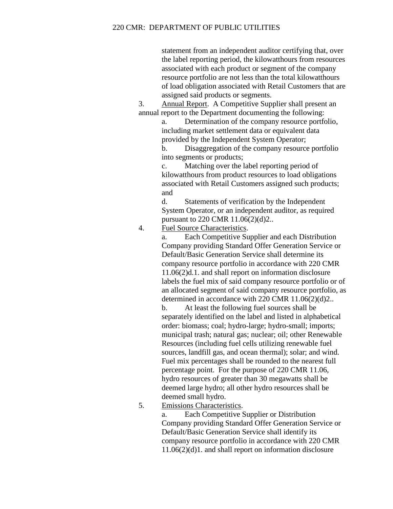statement from an independent auditor certifying that, over the label reporting period, the kilowatthours from resources associated with each product or segment of the company resource portfolio are not less than the total kilowatthours of load obligation associated with Retail Customers that are assigned said products or segments.

3. Annual Report. A Competitive Supplier shall present an annual report to the Department documenting the following:

> a. Determination of the company resource portfolio, including market settlement data or equivalent data provided by the Independent System Operator;

> b. Disaggregation of the company resource portfolio into segments or products;

> c. Matching over the label reporting period of kilowatthours from product resources to load obligations associated with Retail Customers assigned such products; and

d. Statements of verification by the Independent System Operator, or an independent auditor, as required pursuant to 220 CMR 11.06(2)(d)2..

4. Fuel Source Characteristics.

a. Each Competitive Supplier and each Distribution Company providing Standard Offer Generation Service or Default/Basic Generation Service shall determine its company resource portfolio in accordance with 220 CMR 11.06(2)d.1. and shall report on information disclosure labels the fuel mix of said company resource portfolio or of an allocated segment of said company resource portfolio, as determined in accordance with 220 CMR 11.06(2)(d)2..

b. At least the following fuel sources shall be separately identified on the label and listed in alphabetical order: biomass; coal; hydro-large; hydro-small; imports; municipal trash; natural gas; nuclear; oil; other Renewable Resources (including fuel cells utilizing renewable fuel sources, landfill gas, and ocean thermal); solar; and wind. Fuel mix percentages shall be rounded to the nearest full percentage point. For the purpose of 220 CMR 11.06, hydro resources of greater than 30 megawatts shall be deemed large hydro; all other hydro resources shall be deemed small hydro.

5. Emissions Characteristics.

a. Each Competitive Supplier or Distribution Company providing Standard Offer Generation Service or Default/Basic Generation Service shall identify its company resource portfolio in accordance with 220 CMR 11.06(2)(d)1. and shall report on information disclosure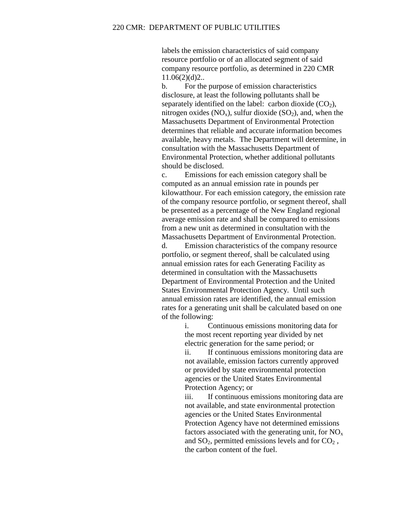labels the emission characteristics of said company resource portfolio or of an allocated segment of said company resource portfolio, as determined in 220 CMR  $11.06(2)(d)2...$ 

b. For the purpose of emission characteristics disclosure, at least the following pollutants shall be separately identified on the label: carbon dioxide  $(CO<sub>2</sub>)$ , nitrogen oxides  $(NO_x)$ , sulfur dioxide  $(SO_2)$ , and, when the Massachusetts Department of Environmental Protection determines that reliable and accurate information becomes available, heavy metals. The Department will determine, in consultation with the Massachusetts Department of Environmental Protection, whether additional pollutants should be disclosed.

c. Emissions for each emission category shall be computed as an annual emission rate in pounds per kilowatthour. For each emission category, the emission rate of the company resource portfolio, or segment thereof, shall be presented as a percentage of the New England regional average emission rate and shall be compared to emissions from a new unit as determined in consultation with the Massachusetts Department of Environmental Protection.

d. Emission characteristics of the company resource portfolio, or segment thereof, shall be calculated using annual emission rates for each Generating Facility as determined in consultation with the Massachusetts Department of Environmental Protection and the United States Environmental Protection Agency. Until such annual emission rates are identified, the annual emission rates for a generating unit shall be calculated based on one of the following:

> i. Continuous emissions monitoring data for the most recent reporting year divided by net electric generation for the same period; or ii. If continuous emissions monitoring data are not available, emission factors currently approved or provided by state environmental protection agencies or the United States Environmental Protection Agency; or

> iii. If continuous emissions monitoring data are not available, and state environmental protection agencies or the United States Environmental Protection Agency have not determined emissions factors associated with the generating unit, for  $NO<sub>x</sub>$ and  $SO_2$ , permitted emissions levels and for  $CO_2$ , the carbon content of the fuel.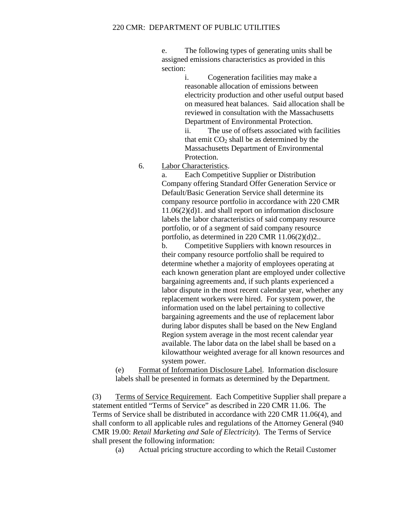e. The following types of generating units shall be assigned emissions characteristics as provided in this section:

> i. Cogeneration facilities may make a reasonable allocation of emissions between electricity production and other useful output based on measured heat balances. Said allocation shall be reviewed in consultation with the Massachusetts Department of Environmental Protection.

ii. The use of offsets associated with facilities that emit  $CO<sub>2</sub>$  shall be as determined by the Massachusetts Department of Environmental Protection.

6. Labor Characteristics.

a. Each Competitive Supplier or Distribution Company offering Standard Offer Generation Service or Default/Basic Generation Service shall determine its company resource portfolio in accordance with 220 CMR 11.06(2)(d)1. and shall report on information disclosure labels the labor characteristics of said company resource portfolio, or of a segment of said company resource portfolio, as determined in 220 CMR 11.06(2)(d)2..

b. Competitive Suppliers with known resources in their company resource portfolio shall be required to determine whether a majority of employees operating at each known generation plant are employed under collective bargaining agreements and, if such plants experienced a labor dispute in the most recent calendar year, whether any replacement workers were hired. For system power, the information used on the label pertaining to collective bargaining agreements and the use of replacement labor during labor disputes shall be based on the New England Region system average in the most recent calendar year available. The labor data on the label shall be based on a kilowatthour weighted average for all known resources and system power.

(e) Format of Information Disclosure Label. Information disclosure labels shall be presented in formats as determined by the Department.

(3) Terms of Service Requirement. Each Competitive Supplier shall prepare a statement entitled "Terms of Service" as described in 220 CMR 11.06. The Terms of Service shall be distributed in accordance with 220 CMR 11.06(4), and shall conform to all applicable rules and regulations of the Attorney General (940 CMR 19.00: *Retail Marketing and Sale of Electricity*). The Terms of Service shall present the following information:

(a) Actual pricing structure according to which the Retail Customer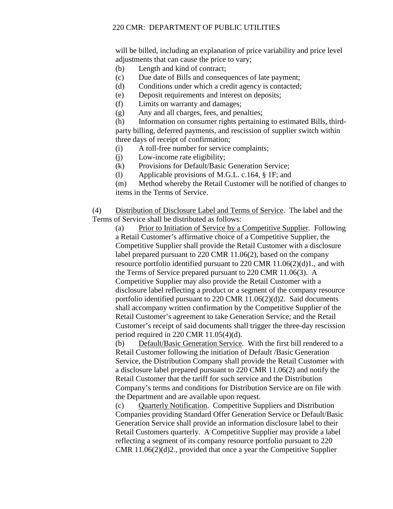will be billed, including an explanation of price variability and price level adjustments that can cause the price to vary;

- (b) Length and kind of contract;
- (c) Due date of Bills and consequences of late payment;
- (d) Conditions under which a credit agency is contacted;
- (e) Deposit requirements and interest on deposits;
- (f) Limits on warranty and damages;
- (g) Any and all charges, fees, and penalties;

(h) Information on consumer rights pertaining to estimated Bills, thirdparty billing, deferred payments, and rescission of supplier switch within three days of receipt of confirmation;

- (i) A toll-free number for service complaints;
- (j) Low-income rate eligibility;
- (k) Provisions for Default/Basic Generation Service;
- (l) Applicable provisions of M.G.L. c.164, § 1F; and

(m) Method whereby the Retail Customer will be notified of changes to items in the Terms of Service.

(4) Distribution of Disclosure Label and Terms of Service. The label and the Terms of Service shall be distributed as follows:

(a) Prior to Initiation of Service by a Competitive Supplier. Following a Retail Customer's affirmative choice of a Competitive Supplier, the Competitive Supplier shall provide the Retail Customer with a disclosure label prepared pursuant to 220 CMR 11.06(2), based on the company resource portfolio identified pursuant to 220 CMR 11.06(2)(d)1., and with the Terms of Service prepared pursuant to 220 CMR 11.06(3). A Competitive Supplier may also provide the Retail Customer with a disclosure label reflecting a product or a segment of the company resource portfolio identified pursuant to 220 CMR 11.06(2)(d)2. Said documents shall accompany written confirmation by the Competitive Supplier of the Retail Customer's agreement to take Generation Service; and the Retail Customer's receipt of said documents shall trigger the three-day rescission period required in 220 CMR 11.05(4)(d).

(b) Default/Basic Generation Service. With the first bill rendered to a Retail Customer following the initiation of Default /Basic Generation Service, the Distribution Company shall provide the Retail Customer with a disclosure label prepared pursuant to 220 CMR 11.06(2) and notify the Retail Customer that the tariff for such service and the Distribution Company's terms and conditions for Distribution Service are on file with the Department and are available upon request.

(c) Quarterly Notification. Competitive Suppliers and Distribution Companies providing Standard Offer Generation Service or Default/Basic Generation Service shall provide an information disclosure label to their Retail Customers quarterly. A Competitive Supplier may provide a label reflecting a segment of its company resource portfolio pursuant to 220 CMR 11.06(2)(d)2., provided that once a year the Competitive Supplier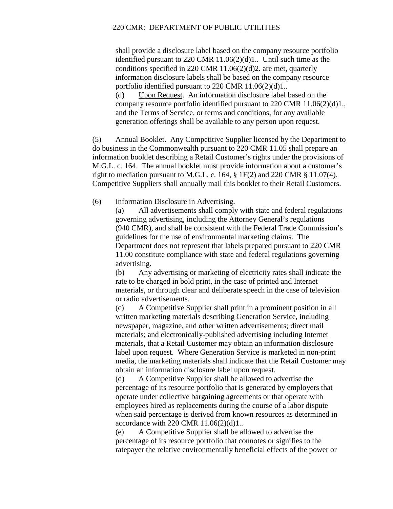shall provide a disclosure label based on the company resource portfolio identified pursuant to 220 CMR 11.06(2)(d)1.. Until such time as the conditions specified in 220 CMR 11.06(2)(d)2. are met, quarterly information disclosure labels shall be based on the company resource portfolio identified pursuant to 220 CMR 11.06(2)(d)1..

(d) Upon Request. An information disclosure label based on the company resource portfolio identified pursuant to 220 CMR 11.06(2)(d)1., and the Terms of Service, or terms and conditions, for any available generation offerings shall be available to any person upon request.

(5) Annual Booklet. Any Competitive Supplier licensed by the Department to do business in the Commonwealth pursuant to 220 CMR 11.05 shall prepare an information booklet describing a Retail Customer's rights under the provisions of M.G.L. c. 164. The annual booklet must provide information about a customer's right to mediation pursuant to M.G.L. c. 164,  $\S$  1F(2) and 220 CMR  $\S$  11.07(4). Competitive Suppliers shall annually mail this booklet to their Retail Customers.

(6) Information Disclosure in Advertising.

(a) All advertisements shall comply with state and federal regulations governing advertising, including the Attorney General's regulations (940 CMR), and shall be consistent with the Federal Trade Commission's guidelines for the use of environmental marketing claims. The Department does not represent that labels prepared pursuant to 220 CMR 11.00 constitute compliance with state and federal regulations governing advertising.

(b) Any advertising or marketing of electricity rates shall indicate the rate to be charged in bold print, in the case of printed and Internet materials, or through clear and deliberate speech in the case of television or radio advertisements.

(c) A Competitive Supplier shall print in a prominent position in all written marketing materials describing Generation Service, including newspaper, magazine, and other written advertisements; direct mail materials; and electronically-published advertising including Internet materials, that a Retail Customer may obtain an information disclosure label upon request. Where Generation Service is marketed in non-print media, the marketing materials shall indicate that the Retail Customer may obtain an information disclosure label upon request.

(d) A Competitive Supplier shall be allowed to advertise the percentage of its resource portfolio that is generated by employers that operate under collective bargaining agreements or that operate with employees hired as replacements during the course of a labor dispute when said percentage is derived from known resources as determined in accordance with 220 CMR 11.06(2)(d)1..

(e) A Competitive Supplier shall be allowed to advertise the percentage of its resource portfolio that connotes or signifies to the ratepayer the relative environmentally beneficial effects of the power or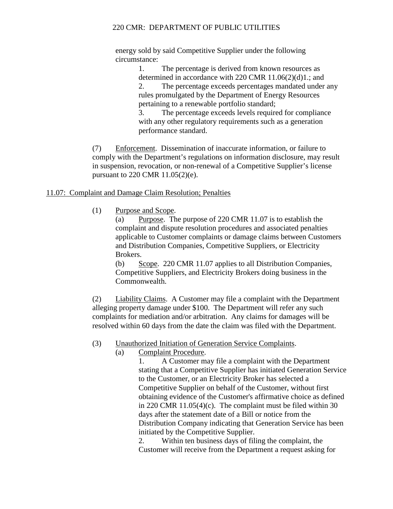energy sold by said Competitive Supplier under the following circumstance:

> 1. The percentage is derived from known resources as determined in accordance with 220 CMR 11.06(2)(d)1.; and 2. The percentage exceeds percentages mandated under any rules promulgated by the Department of Energy Resources pertaining to a renewable portfolio standard;

3. The percentage exceeds levels required for compliance with any other regulatory requirements such as a generation performance standard.

(7) Enforcement. Dissemination of inaccurate information, or failure to comply with the Department's regulations on information disclosure, may result in suspension, revocation, or non-renewal of a Competitive Supplier's license pursuant to 220 CMR 11.05(2)(e).

# 11.07: Complaint and Damage Claim Resolution; Penalties

(1) Purpose and Scope.

(a) Purpose. The purpose of 220 CMR 11.07 is to establish the complaint and dispute resolution procedures and associated penalties applicable to Customer complaints or damage claims between Customers and Distribution Companies, Competitive Suppliers, or Electricity Brokers.

(b) Scope. 220 CMR 11.07 applies to all Distribution Companies, Competitive Suppliers, and Electricity Brokers doing business in the Commonwealth.

(2) Liability Claims. A Customer may file a complaint with the Department alleging property damage under \$100. The Department will refer any such complaints for mediation and/or arbitration. Any claims for damages will be resolved within 60 days from the date the claim was filed with the Department.

- (3) Unauthorized Initiation of Generation Service Complaints.
	- (a) Complaint Procedure.

1. A Customer may file a complaint with the Department stating that a Competitive Supplier has initiated Generation Service to the Customer, or an Electricity Broker has selected a Competitive Supplier on behalf of the Customer, without first obtaining evidence of the Customer's affirmative choice as defined in 220 CMR 11.05(4)(c). The complaint must be filed within 30 days after the statement date of a Bill or notice from the Distribution Company indicating that Generation Service has been initiated by the Competitive Supplier.

2. Within ten business days of filing the complaint, the Customer will receive from the Department a request asking for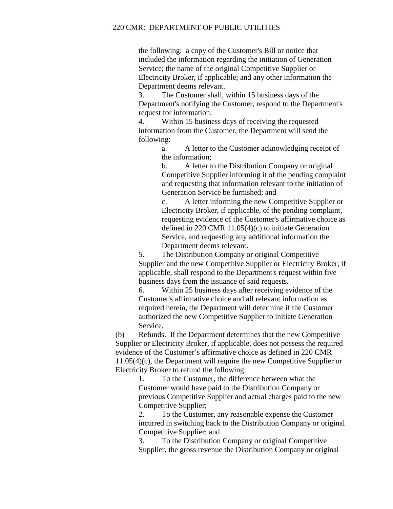the following: a copy of the Customer's Bill or notice that included the information regarding the initiation of Generation Service; the name of the original Competitive Supplier or Electricity Broker, if applicable; and any other information the Department deems relevant.

3. The Customer shall, within 15 business days of the Department's notifying the Customer, respond to the Department's request for information.

4. Within 15 business days of receiving the requested information from the Customer, the Department will send the following:

> a. A letter to the Customer acknowledging receipt of the information;

b. A letter to the Distribution Company or original Competitive Supplier informing it of the pending complaint and requesting that information relevant to the initiation of Generation Service be furnished; and

c. A letter informing the new Competitive Supplier or Electricity Broker, if applicable, of the pending complaint, requesting evidence of the Customer's affirmative choice as defined in 220 CMR 11.05(4)(c) to initiate Generation Service, and requesting any additional information the Department deems relevant.

5. The Distribution Company or original Competitive Supplier and the new Competitive Supplier or Electricity Broker, if applicable, shall respond to the Department's request within five business days from the issuance of said requests.

6. Within 25 business days after receiving evidence of the Customer's affirmative choice and all relevant information as required herein, the Department will determine if the Customer authorized the new Competitive Supplier to initiate Generation Service.

(b) Refunds. If the Department determines that the new Competitive Supplier or Electricity Broker, if applicable, does not possess the required evidence of the Customer's affirmative choice as defined in 220 CMR 11.05(4)(c), the Department will require the new Competitive Supplier or Electricity Broker to refund the following:

1. To the Customer, the difference between what the Customer would have paid to the Distribution Company or previous Competitive Supplier and actual charges paid to the new Competitive Supplier;

2. To the Customer, any reasonable expense the Customer incurred in switching back to the Distribution Company or original Competitive Supplier; and

3. To the Distribution Company or original Competitive Supplier, the gross revenue the Distribution Company or original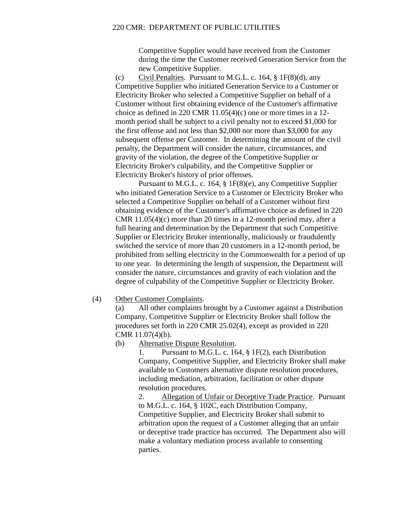Competitive Supplier would have received from the Customer during the time the Customer received Generation Service from the new Competitive Supplier.

(c) Civil Penalties. Pursuant to M.G.L. c. 164,  $\S$  1F(8)(d), any Competitive Supplier who initiated Generation Service to a Customer or Electricity Broker who selected a Competitive Supplier on behalf of a Customer without first obtaining evidence of the Customer's affirmative choice as defined in 220 CMR 11.05(4)(c) one or more times in a 12 month period shall be subject to a civil penalty not to exceed \$1,000 for the first offense and not less than \$2,000 nor more than \$3,000 for any subsequent offense per Customer. In determining the amount of the civil penalty, the Department will consider the nature, circumstances, and gravity of the violation, the degree of the Competitive Supplier or Electricity Broker's culpability, and the Competitive Supplier or Electricity Broker's history of prior offenses.

Pursuant to M.G.L. c. 164, § 1F(8)(e), any Competitive Supplier who initiated Generation Service to a Customer or Electricity Broker who selected a Competitive Supplier on behalf of a Customer without first obtaining evidence of the Customer's affirmative choice as defined in 220 CMR 11.05(4)(c) more than 20 times in a 12-month period may, after a full hearing and determination by the Department that such Competitive Supplier or Electricity Broker intentionally, maliciously or fraudulently switched the service of more than 20 customers in a 12-month period, be prohibited from selling electricity in the Commonwealth for a period of up to one year. In determining the length of suspension, the Department will consider the nature, circumstances and gravity of each violation and the degree of culpability of the Competitive Supplier or Electricity Broker.

## (4) Other Customer Complaints.

(a) All other complaints brought by a Customer against a Distribution Company, Competitive Supplier or Electricity Broker shall follow the procedures set forth in 220 CMR 25.02(4), except as provided in 220 CMR 11.07(4)(b).

#### (b) Alternative Dispute Resolution.

1. Pursuant to M.G.L. c. 164, § 1F(2), each Distribution Company, Competitive Supplier, and Electricity Broker shall make available to Customers alternative dispute resolution procedures, including mediation, arbitration, facilitation or other dispute resolution procedures.

2. Allegation of Unfair or Deceptive Trade Practice. Pursuant to M.G.L. c. 164, § 102C, each Distribution Company, Competitive Supplier, and Electricity Broker shall submit to arbitration upon the request of a Customer alleging that an unfair or deceptive trade practice has occurred. The Department also will make a voluntary mediation process available to consenting parties.